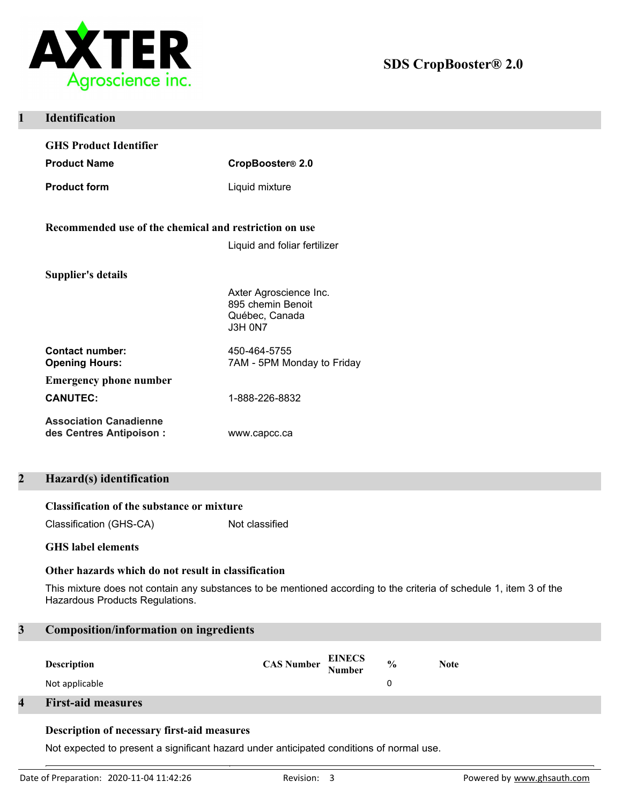

| <b>Identification</b>                                     |                                                                                 |  |
|-----------------------------------------------------------|---------------------------------------------------------------------------------|--|
| <b>GHS Product Identifier</b>                             |                                                                                 |  |
| <b>Product Name</b>                                       | CropBooster® 2.0                                                                |  |
| <b>Product form</b>                                       | Liquid mixture                                                                  |  |
| Recommended use of the chemical and restriction on use    |                                                                                 |  |
|                                                           | Liquid and foliar fertilizer                                                    |  |
| <b>Supplier's details</b>                                 |                                                                                 |  |
|                                                           | Axter Agroscience Inc.<br>895 chemin Benoit<br>Québec, Canada<br><b>J3H 0N7</b> |  |
| <b>Contact number:</b><br><b>Opening Hours:</b>           | 450-464-5755<br>7AM - 5PM Monday to Friday                                      |  |
| <b>Emergency phone number</b>                             |                                                                                 |  |
| <b>CANUTEC:</b>                                           | 1-888-226-8832                                                                  |  |
| <b>Association Canadienne</b><br>des Centres Antipoison : | www.capcc.ca                                                                    |  |

# **2 Hazard(s) identification**

## **Classification of the substance or mixture**

Classification (GHS-CA) Not classified

## **GHS label elements**

## **Other hazards which do not result in classification**

This mixture does not contain any substances to be mentioned according to the criteria of schedule 1, item 3 of the Hazardous Products Regulations.

## **3 Composition/information on ingredients**

| <b>Description</b>        | <b>CAS Number EINECS</b><br>Number | $\frac{0}{0}$ | <b>Note</b> |
|---------------------------|------------------------------------|---------------|-------------|
| Not applicable            |                                    |               |             |
| <b>First-aid measures</b> |                                    |               |             |

## **Description of necessary first-aid measures**

Not expected to present a significant hazard under anticipated conditions of normal use.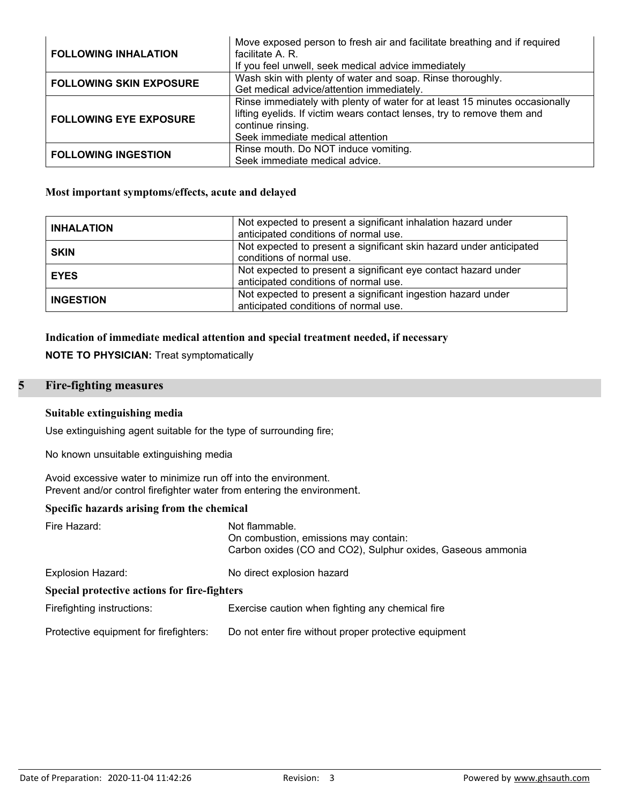| <b>FOLLOWING INHALATION</b>    | Move exposed person to fresh air and facilitate breathing and if required<br>facilitate A. R.<br>If you feel unwell, seek medical advice immediately                                                            |
|--------------------------------|-----------------------------------------------------------------------------------------------------------------------------------------------------------------------------------------------------------------|
| <b>FOLLOWING SKIN EXPOSURE</b> | Wash skin with plenty of water and soap. Rinse thoroughly.<br>Get medical advice/attention immediately.                                                                                                         |
| <b>FOLLOWING EYE EXPOSURE</b>  | Rinse immediately with plenty of water for at least 15 minutes occasionally<br>lifting eyelids. If victim wears contact lenses, try to remove them and<br>continue rinsing.<br>Seek immediate medical attention |
| <b>FOLLOWING INGESTION</b>     | Rinse mouth. Do NOT induce vomiting.<br>Seek immediate medical advice.                                                                                                                                          |

## **Most important symptoms/effects, acute and delayed**

| <b>INHALATION</b> | Not expected to present a significant inhalation hazard under<br>anticipated conditions of normal use.  |  |
|-------------------|---------------------------------------------------------------------------------------------------------|--|
| <b>SKIN</b>       | Not expected to present a significant skin hazard under anticipated<br>conditions of normal use.        |  |
| <b>EYES</b>       | Not expected to present a significant eye contact hazard under<br>anticipated conditions of normal use. |  |
| <b>INGESTION</b>  | Not expected to present a significant ingestion hazard under<br>anticipated conditions of normal use.   |  |

## **Indication of immediate medical attention and special treatment needed, if necessary**

**NOTE TO PHYSICIAN:** Treat symptomatically

# **5 Fire-fighting measures**

## **Suitable extinguishing media**

Use extinguishing agent suitable for the type of surrounding fire;

No known unsuitable extinguishing media

Avoid excessive water to minimize run off into the environment. Prevent and/or control firefighter water from entering the environment.

## **Specific hazards arising from the chemical**

| Fire Hazard:                                 | Not flammable.<br>On combustion, emissions may contain:<br>Carbon oxides (CO and CO2), Sulphur oxides, Gaseous ammonia |
|----------------------------------------------|------------------------------------------------------------------------------------------------------------------------|
| <b>Explosion Hazard:</b>                     | No direct explosion hazard                                                                                             |
| Special protective actions for fire-fighters |                                                                                                                        |
| Firefighting instructions:                   | Exercise caution when fighting any chemical fire                                                                       |
| Protective equipment for firefighters:       | Do not enter fire without proper protective equipment                                                                  |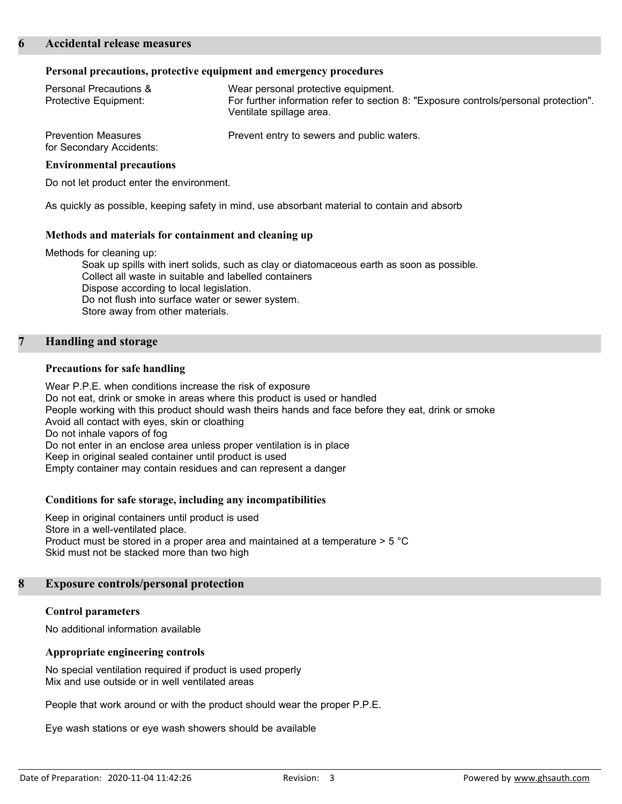### **Personal precautions, protective equipment and emergency procedures**

| <b>Personal Precautions &amp;</b><br>Protective Equipment: | Wear personal protective equipment.<br>For further information refer to section 8: "Exposure controls/personal protection".<br>Ventilate spillage area. |
|------------------------------------------------------------|---------------------------------------------------------------------------------------------------------------------------------------------------------|
| <b>Prevention Measures</b><br>for Secondary Accidents:     | Prevent entry to sewers and public waters.                                                                                                              |

#### **Environmental precautions**

Do not let product enter the environment.

As quickly as possible, keeping safety in mind, use absorbant material to contain and absorb

### **Methods and materials for containment and cleaning up**

Methods for cleaning up:

Soak up spills with inert solids, such as clay or diatomaceous earth as soon as possible. Collect all waste in suitable and labelled containers Dispose according to local legislation. Do not flush into surface water or sewer system. Store away from other materials.

## **7 Handling and storage**

### **Precautions for safe handling**

Wear P.P.E. when conditions increase the risk of exposure Do not eat, drink or smoke in areas where this product is used or handled People working with this product should wash theirs hands and face before they eat, drink or smoke Avoid all contact with eyes, skin or cloathing Do not inhale vapors of fog Do not enter in an enclose area unless proper ventilation is in place Keep in original sealed container until product is used Empty container may contain residues and can represent a danger

## **Conditions for safe storage, including any incompatibilities**

Keep in original containers until product is used Store in a well-ventilated place. Product must be stored in a proper area and maintained at a temperature  $> 5$  °C Skid must not be stacked more than two high

### **8 Exposure controls/personal protection**

### **Control parameters**

No additional information available

### **Appropriate engineering controls**

No special ventilation required if product is used properly Mix and use outside or in well ventilated areas

People that work around or with the product should wear the proper P.P.E.

Eye wash stations or eye wash showers should be available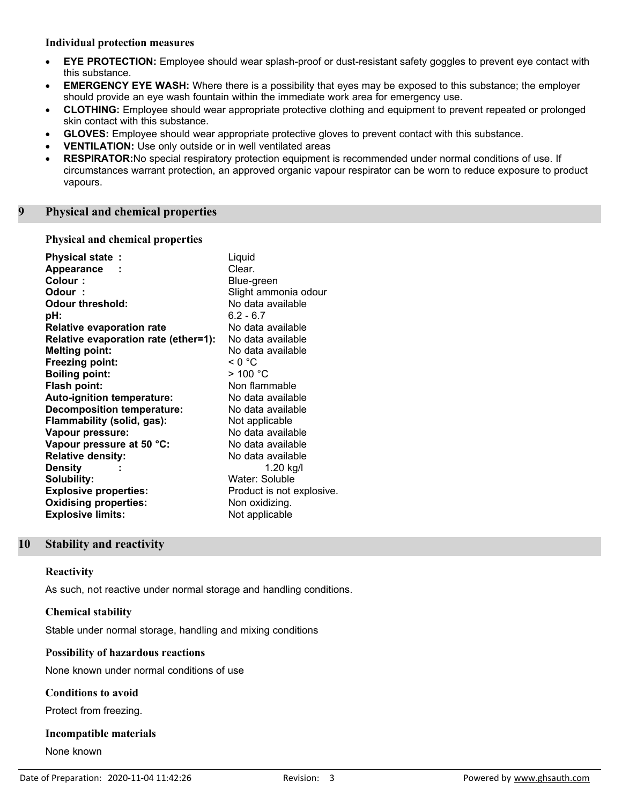## **Individual protection measures**

- · **EYE PROTECTION:** Employee should wear splash-proof or dust-resistant safety goggles to prevent eye contact with this substance.
- · **EMERGENCY EYE WASH:** Where there is a possibility that eyes may be exposed to this substance; the employer should provide an eye wash fountain within the immediate work area for emergency use.
- · **CLOTHING:** Employee should wear appropriate protective clothing and equipment to prevent repeated or prolonged skin contact with this substance.
- · **GLOVES:** Employee should wear appropriate protective gloves to prevent contact with this substance.
- **VENTILATION:** Use only outside or in well ventilated areas
- **RESPIRATOR:**No special respiratory protection equipment is recommended under normal conditions of use. If circumstances warrant protection, an approved organic vapour respirator can be worn to reduce exposure to product vapours.

## **9 Physical and chemical properties**

## **Physical and chemical properties**

| <b>Physical state:</b><br>Appearance<br>Colour:<br>Odour:<br><b>Odour threshold:</b> | Liquid<br>Clear.<br>Blue-green<br>Slight ammonia odour<br>No data available |
|--------------------------------------------------------------------------------------|-----------------------------------------------------------------------------|
| pH:                                                                                  | $6.2 - 6.7$                                                                 |
| <b>Relative evaporation rate</b>                                                     | No data available                                                           |
| Relative evaporation rate (ether=1):                                                 | No data available                                                           |
| <b>Melting point:</b>                                                                | No data available                                                           |
| <b>Freezing point:</b>                                                               | < 0 °C                                                                      |
| <b>Boiling point:</b>                                                                | > 100 °C                                                                    |
| Flash point:                                                                         | Non flammable                                                               |
| <b>Auto-ignition temperature:</b>                                                    | No data available                                                           |
| <b>Decomposition temperature:</b>                                                    | No data available                                                           |
| Flammability (solid, gas):                                                           | Not applicable                                                              |
| Vapour pressure:                                                                     | No data available                                                           |
| Vapour pressure at 50 °C:                                                            | No data available                                                           |
| <b>Relative density:</b>                                                             | No data available                                                           |
| <b>Density</b>                                                                       | 1.20 $kg/l$                                                                 |
| Solubility:                                                                          | Water: Soluble                                                              |
| <b>Explosive properties:</b>                                                         | Product is not explosive.                                                   |
| <b>Oxidising properties:</b>                                                         | Non oxidizing.                                                              |
| <b>Explosive limits:</b>                                                             | Not applicable                                                              |

# **10 Stability and reactivity**

### **Reactivity**

As such, not reactive under normal storage and handling conditions.

## **Chemical stability**

Stable under normal storage, handling and mixing conditions

## **Possibility of hazardous reactions**

None known under normal conditions of use

## **Conditions to avoid**

Protect from freezing.

### **Incompatible materials**

None known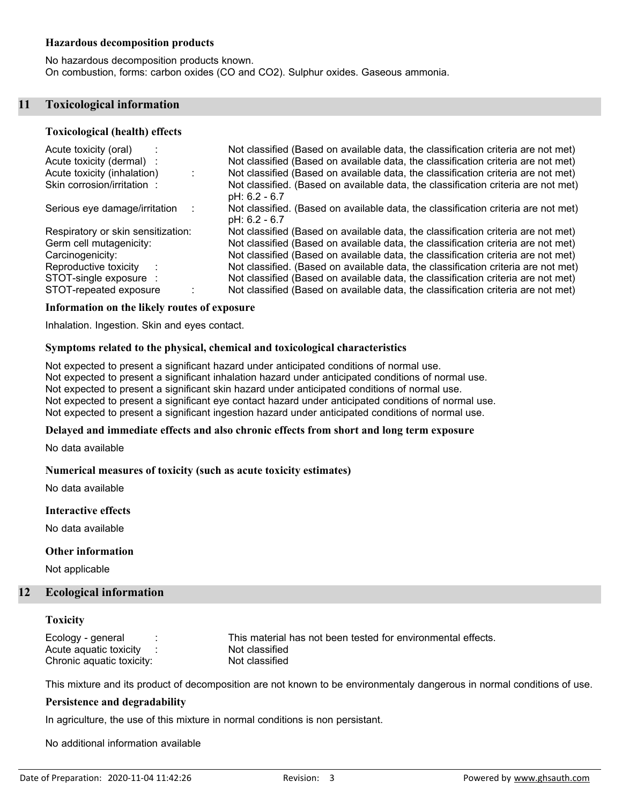## **Hazardous decomposition products**

No hazardous decomposition products known. On combustion, forms: carbon oxides (CO and CO2). Sulphur oxides. Gaseous ammonia.

### **11 Toxicological information**

#### **Toxicological (health) effects**

| Acute toxicity (oral)              | Not classified (Based on available data, the classification criteria are not met)                   |
|------------------------------------|-----------------------------------------------------------------------------------------------------|
| Acute toxicity (dermal) :          | Not classified (Based on available data, the classification criteria are not met)                   |
| Acute toxicity (inhalation)        | Not classified (Based on available data, the classification criteria are not met)                   |
| Skin corrosion/irritation:         | Not classified. (Based on available data, the classification criteria are not met)<br>pH: 6.2 - 6.7 |
| Serious eye damage/irritation      | Not classified. (Based on available data, the classification criteria are not met)<br>pH: 6.2 - 6.7 |
| Respiratory or skin sensitization: | Not classified (Based on available data, the classification criteria are not met)                   |
| Germ cell mutagenicity:            | Not classified (Based on available data, the classification criteria are not met)                   |
| Carcinogenicity:                   | Not classified (Based on available data, the classification criteria are not met)                   |
| Reproductive toxicity              | Not classified. (Based on available data, the classification criteria are not met)                  |
| STOT-single exposure :             | Not classified (Based on available data, the classification criteria are not met)                   |
| STOT-repeated exposure             | Not classified (Based on available data, the classification criteria are not met)                   |

#### **Information on the likely routes of exposure**

Inhalation. Ingestion. Skin and eyes contact.

#### **Symptoms related to the physical, chemical and toxicological characteristics**

Not expected to present a significant hazard under anticipated conditions of normal use. Not expected to present a significant inhalation hazard under anticipated conditions of normal use. Not expected to present a significant skin hazard under anticipated conditions of normal use. Not expected to present a significant eye contact hazard under anticipated conditions of normal use. Not expected to present a significant ingestion hazard under anticipated conditions of normal use.

### **Delayed and immediate effects and also chronic effects from short and long term exposure**

No data available

#### **Numerical measures of toxicity (such as acute toxicity estimates)**

No data available

#### **Interactive effects**

No data available

#### **Other information**

Not applicable

## **12 Ecological information**

## **Toxicity**

Acute aquatic toxicity : Not classified Chronic aquatic toxicity: Not classified

Ecology - general : This material has not been tested for environmental effects.

This mixture and its product of decomposition are not known to be environmentaly dangerous in normal conditions of use.

## **Persistence and degradability**

In agriculture, the use of this mixture in normal conditions is non persistant.

No additional information available